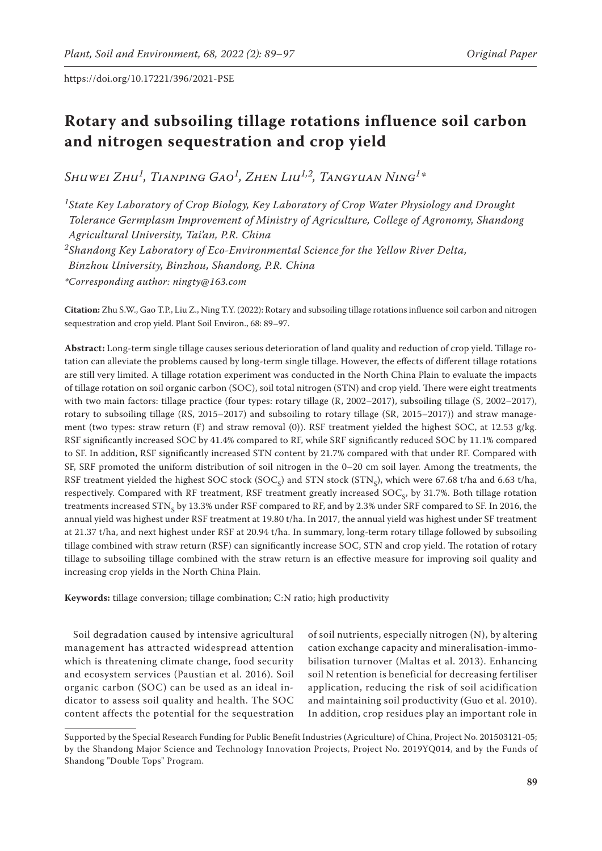# **Rotary and subsoiling tillage rotations influence soil carbon and nitrogen sequestration and crop yield**

*Shuwei Zhu1, Tianping Gao1, Zhen Liu1,2, Tangyuan Ning1\**

*1State Key Laboratory of Crop Biology, Key Laboratory of Crop Water Physiology and Drought Tolerance Germplasm Improvement of Ministry of Agriculture, College of Agronomy, Shandong Agricultural University, Tai'an, P.R. China*

*2Shandong Key Laboratory of Eco-Environmental Science for the Yellow River Delta,*

*Binzhou University, Binzhou, Shandong, P.R. China*

*\*Corresponding author: ningty@163.com*

**Citation:** Zhu S.W., Gao T.P., Liu Z., Ning T.Y. (2022): Rotary and subsoiling tillage rotations influence soil carbon and nitrogen sequestration and crop yield. Plant Soil Environ., 68: 89–97.

**Abstract:** Long-term single tillage causes serious deterioration of land quality and reduction of crop yield. Tillage rotation can alleviate the problems caused by long-term single tillage. However, the effects of different tillage rotations are still very limited. A tillage rotation experiment was conducted in the North China Plain to evaluate the impacts of tillage rotation on soil organic carbon (SOC), soil total nitrogen (STN) and crop yield. There were eight treatments with two main factors: tillage practice (four types: rotary tillage (R, 2002–2017), subsoiling tillage (S, 2002–2017), rotary to subsoiling tillage (RS, 2015–2017) and subsoiling to rotary tillage (SR, 2015–2017)) and straw management (two types: straw return (F) and straw removal (0)). RSF treatment yielded the highest SOC, at 12.53 g/kg. RSF significantly increased SOC by 41.4% compared to RF, while SRF significantly reduced SOC by 11.1% compared to SF. In addition, RSF significantly increased STN content by 21.7% compared with that under RF. Compared with SF, SRF promoted the uniform distribution of soil nitrogen in the 0–20 cm soil layer. Among the treatments, the RSF treatment yielded the highest SOC stock (SOC<sub>S</sub>) and STN stock (STN<sub>S</sub>), which were 67.68 t/ha and 6.63 t/ha, respectively. Compared with RF treatment, RSF treatment greatly increased SOC<sub>c</sub>, by 31.7%. Both tillage rotation treatments increased STN<sub>s</sub> by 13.3% under RSF compared to RF, and by 2.3% under SRF compared to SF. In 2016, the annual yield was highest under RSF treatment at 19.80 t/ha. In 2017, the annual yield was highest under SF treatment at 21.37 t/ha, and next highest under RSF at 20.94 t/ha. In summary, long-term rotary tillage followed by subsoiling tillage combined with straw return (RSF) can significantly increase SOC, STN and crop yield. The rotation of rotary tillage to subsoiling tillage combined with the straw return is an effective measure for improving soil quality and increasing crop yields in the North China Plain.

**Keywords:** tillage conversion; tillage combination; C:N ratio; high productivity

Soil degradation caused by intensive agricultural management has attracted widespread attention which is threatening climate change, food security and ecosystem services (Paustian et al. 2016). Soil organic carbon (SOC) can be used as an ideal indicator to assess soil quality and health. The SOC content affects the potential for the sequestration

of soil nutrients, especially nitrogen (N), by altering cation exchange capacity and mineralisation-immobilisation turnover (Maltas et al. 2013). Enhancing soil N retention is beneficial for decreasing fertiliser application, reducing the risk of soil acidification and maintaining soil productivity (Guo et al. 2010). In addition, crop residues play an important role in

Supported by the Special Research Funding for Public Benefit Industries (Agriculture) of China, Project No. 201503121-05; by the Shandong Major Science and Technology Innovation Projects, Project No. 2019YQ014, and by the Funds of Shandong "Double Tops" Program.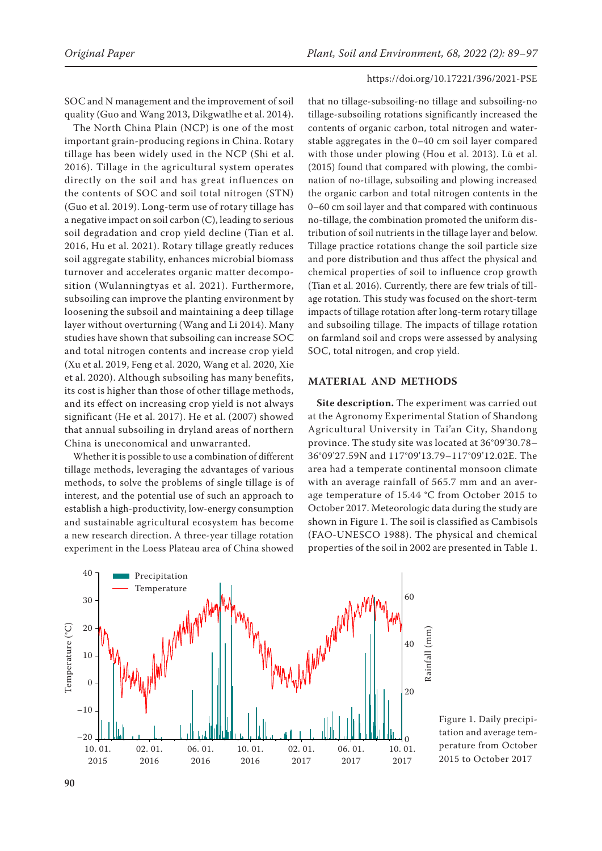SOC and N management and the improvement of soil quality (Guo and Wang 2013, Dikgwatlhe et al. 2014).

The North China Plain (NCP) is one of the most important grain-producing regions in China. Rotary tillage has been widely used in the NCP (Shi et al. 2016). Tillage in the agricultural system operates directly on the soil and has great influences on the contents of SOC and soil total nitrogen (STN) (Guo et al. 2019). Long-term use of rotary tillage has a negative impact on soil carbon (C), leading to serious soil degradation and crop yield decline (Tian et al. 2016, Hu et al. 2021). Rotary tillage greatly reduces soil aggregate stability, enhances microbial biomass turnover and accelerates organic matter decomposition (Wulanningtyas et al. 2021). Furthermore, subsoiling can improve the planting environment by loosening the subsoil and maintaining a deep tillage layer without overturning (Wang and Li 2014). Many studies have shown that subsoiling can increase SOC and total nitrogen contents and increase crop yield (Xu et al. 2019, Feng et al. 2020, Wang et al. 2020, Xie et al. 2020). Although subsoiling has many benefits, its cost is higher than those of other tillage methods, and its effect on increasing crop yield is not always significant (He et al. 2017). He et al. (2007) showed that annual subsoiling in dryland areas of northern China is uneconomical and unwarranted.

Whether it is possible to use a combination of different tillage methods, leveraging the advantages of various methods, to solve the problems of single tillage is of interest, and the potential use of such an approach to establish a high-productivity, low-energy consumption and sustainable agricultural ecosystem has become a new research direction. A three-year tillage rotation experiment in the Loess Plateau area of China showed

that no tillage-subsoiling-no tillage and subsoiling-no tillage-subsoiling rotations significantly increased the contents of organic carbon, total nitrogen and waterstable aggregates in the 0–40 cm soil layer compared with those under plowing (Hou et al. 2013). Lü et al. (2015) found that compared with plowing, the combination of no-tillage, subsoiling and plowing increased the organic carbon and total nitrogen contents in the 0–60 cm soil layer and that compared with continuous no-tillage, the combination promoted the uniform distribution of soil nutrients in the tillage layer and below. Tillage practice rotations change the soil particle size and pore distribution and thus affect the physical and chemical properties of soil to influence crop growth (Tian et al. 2016). Currently, there are few trials of tillage rotation. This study was focused on the short-term impacts of tillage rotation after long-term rotary tillage and subsoiling tillage. The impacts of tillage rotation on farmland soil and crops were assessed by analysing SOC, total nitrogen, and crop yield.

# **MATERIAL AND METHODS**

**Site description.** The experiment was carried out at the Agronomy Experimental Station of Shandong Agricultural University in Tai'an City, Shandong province. The study site was located at 36°09'30.78– 36°09'27.59N and 117°09'13.79–117°09'12.02E. The area had a temperate continental monsoon climate with an average rainfall of 565.7 mm and an average temperature of 15.44 °C from October 2015 to October 2017. Meteorologic data during the study are shown in Figure 1. The soil is classified as Cambisols (FAO-UNESCO 1988). The physical and chemical properties of the soil in 2002 are presented in Table 1.



Figure 1. Daily precipitation and average temperature from October  $2015$  to October  $2017$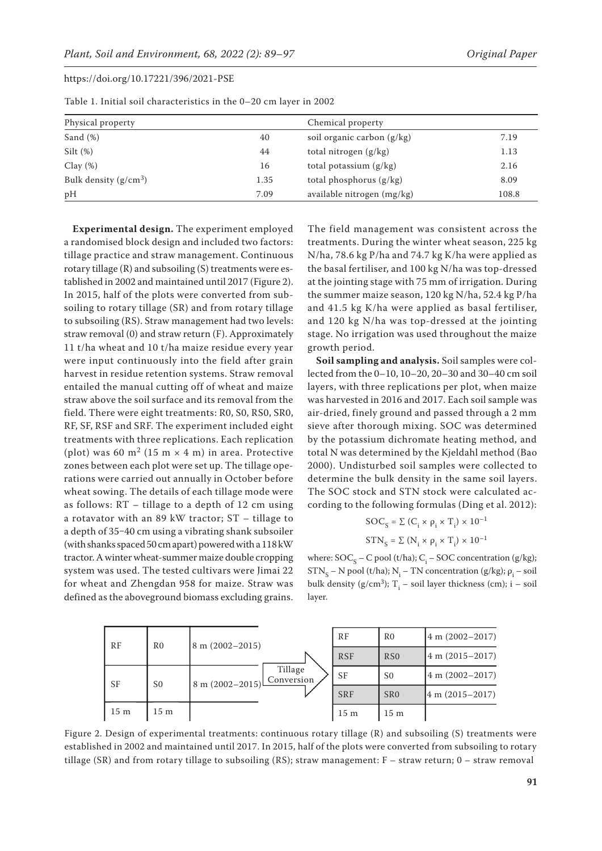| Physical property       |      | Chemical property            |       |
|-------------------------|------|------------------------------|-------|
| Sand $(\%)$             | 40   | soil organic carbon $(g/kg)$ | 7.19  |
| Silt $(\%)$             | 44   | total nitrogen $(g/kg)$      | 1.13  |
| $Clay(\%)$              | 16   | total potassium $(g/kg)$     | 2.16  |
| Bulk density $(g/cm^3)$ | 1.35 | total phosphorus $(g/kg)$    | 8.09  |
| pН                      | 7.09 | available nitrogen (mg/kg)   | 108.8 |

Table 1. Initial soil characteristics in the 0–20 cm layer in 2002

**Experimental design.** The experiment employed a randomised block design and included two factors: tillage practice and straw management. Continuous rotary tillage (R) and subsoiling (S) treatments were established in 2002 and maintained until 2017 (Figure 2). In 2015, half of the plots were converted from subsoiling to rotary tillage (SR) and from rotary tillage to subsoiling (RS). Straw management had two levels: straw removal (0) and straw return (F). Approximately 11 t/ha wheat and 10 t/ha maize residue every year were input continuously into the field after grain harvest in residue retention systems. Straw removal entailed the manual cutting off of wheat and maize straw above the soil surface and its removal from the field. There were eight treatments: R0, S0, RS0, SR0, RF, SF, RSF and SRF. The experiment included eight treatments with three replications. Each replication (plot) was 60 m<sup>2</sup> (15 m  $\times$  4 m) in area. Protective zones between each plot were set up. The tillage operations were carried out annually in October before wheat sowing. The details of each tillage mode were as follows: RT – tillage to a depth of 12 cm using a rotavator with an 89 kW tractor; ST – tillage to a depth of 35-40 cm using a vibrating shank subsoiler (with shanks spaced 50 cm apart) powered with a 118 kW tractor. A winter wheat-summer maize double cropping system was used. The tested cultivars were Jimai 22 for wheat and Zhengdan 958 for maize. Straw was defined as the aboveground biomass excluding grains. The field management was consistent across the treatments. During the winter wheat season, 225 kg N/ha, 78.6 kg P/ha and 74.7 kg K/ha were applied as the basal fertiliser, and 100 kg N/ha was top-dressed at the jointing stage with 75 mm of irrigation. During the summer maize season, 120 kg N/ha, 52.4 kg P/ha and 41.5 kg K/ha were applied as basal fertiliser, and 120 kg N/ha was top-dressed at the jointing stage. No irrigation was used throughout the maize growth period.

**Soil sampling and analysis.** Soil samples were collected from the 0–10, 10–20, 20–30 and 30–40 cm soil layers, with three replications per plot, when maize was harvested in 2016 and 2017. Each soil sample was air-dried, finely ground and passed through a 2 mm sieve after thorough mixing. SOC was determined by the potassium dichromate heating method, and total N was determined by the Kjeldahl method (Bao 2000). Undisturbed soil samples were collected to determine the bulk density in the same soil layers. The SOC stock and STN stock were calculated according to the following formulas (Ding et al. 2012):

$$
SOC_{S} = \Sigma (C_{i} \times \rho_{i} \times T_{i}) \times 10^{-1}
$$
  

$$
STN_{S} = \Sigma (N_{i} \times \rho_{i} \times T_{i}) \times 10^{-1}
$$

where:  $\mathrm{SOC}_{\mathrm{S}} - \mathrm{C}$  pool (t/ha);  $\mathrm{C}_{\mathrm{i}} - \mathrm{SOC}$  concentration (g/kg);  $STN_S - N$  pool (t/ha);  $N_i - TN$  concentration (g/kg);  $\rho_i - soil$ bulk density (g/cm<sup>3</sup>);  $T_i$  – soil layer thickness (cm); i – soil layer.



Figure 2. Design of experimental treatments: continuous rotary tillage (R) and subsoiling (S) treatments were established in 2002 and maintained until 2017. In 2015, half of the plots were converted from subsoiling to rotary tillage (SR) and from rotary tillage to subsoiling (RS); straw management: F – straw return; 0 – straw removal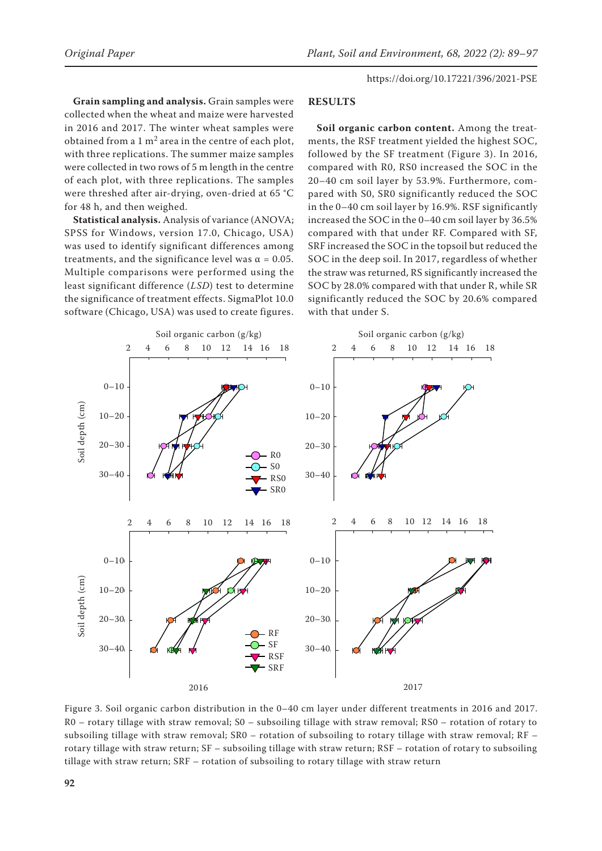**Grain sampling and analysis.** Grain samples were collected when the wheat and maize were harvested in 2016 and 2017. The winter wheat samples were obtained from a  $1 \text{ m}^2$  area in the centre of each plot, with three replications. The summer maize samples were collected in two rows of 5 m length in the centre of each plot, with three replications. The samples were threshed after air-drying, oven-dried at 65 °C for 48 h, and then weighed.

**Statistical analysis.** Analysis of variance (ANOVA; SPSS for Windows, version 17.0, Chicago, USA) was used to identify significant differences among treatments, and the significance level was α = 0.05. **2 4 6 8 10 12 14 16 18** Multiple comparisons were performed using the<br>last similized difference (LSD) test to determine least significant difference (*LSD*) test to determine the significance of treatment effects. SigmaPlot 10.0 **2 4 6 8 10 12 14 16 18 0-10** software (Chicago, USA) was used to create figures.

#### **RESULTS**

**Soil organic carbon content.** Among the treatments, the RSF treatment yielded the highest SOC, followed by the SF treatment (Figure 3). In 2016, compared with R0, RS0 increased the SOC in the 20–40 cm soil layer by 53.9%. Furthermore, compared with S0, SR0 significantly reduced the SOC in the 0–40 cm soil layer by 16.9%. RSF significantly increased the SOC in the 0–40 cm soil layer by 36.5% compared with that under RF. Compared with SF, SRF increased the SOC in the topsoil but reduced the SOC in the deep soil. In 2017, regardless of whether **2 4 6 8 10 12 14 16 18** the straw was returned, RS significantly increased the<br>SOC by 28.0% sempered with that under B, while SB SOC by 28.0% compared with that under R, while SR significantly reduced the SOC by 20.6% compared **2 4 6 8 10 12 14 16 18 0-10** with that under S.



Figure 3. Soil organic carbon distribution in the 0-40 cm layer under different treatments in 2016 and 2017. R0 – rotary tillage with straw removal; S0 – subsoiling tillage with straw removal; RS0 – rotation of rotary to subsoiling tillage with straw removal; SR0 – rotation of subsoiling to rotary tillage with straw removal; RF – rotary tillage with straw return; SF – subsoiling tillage with straw return; RSF – rotation of rotary to subsoiling tillage with straw return; SRF - rotation of subsoiling to rotary tillage with straw return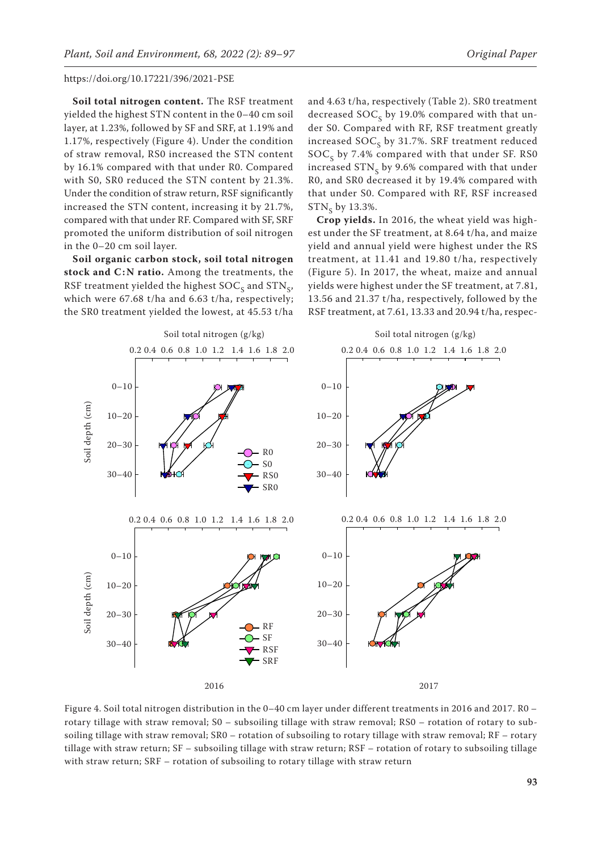**Soil total nitrogen content.** The RSF treatment yielded the highest STN content in the 0–40 cm soil layer, at 1.23%, followed by SF and SRF, at 1.19% and 1.17%, respectively (Figure 4). Under the condition of straw removal, RS0 increased the STN content by 16.1% compared with that under R0. Compared with S0, SR0 reduced the STN content by 21.3%. Under the condition of straw return, RSF significantly increased the STN content, increasing it by 21.7%, compared with that under RF. Compared with SF, SRF compared with that under Kr. Compared with Sr, SKr<br>promoted the uniform distribution of soil nitrogen in the 0–20 cm soil layer. **2 4 6 8 10 12 14 16 18**

**Soil organic carbon stock, soil total nitrogen**  stock and C:N ratio. Among the treatments, the RSF treatment yielded the highest  $SOC<sub>s</sub>$  and  $STN<sub>s</sub>$ , which were 67.68 t/ha and 6.63 t/ha, respectively; **0-10 2 4 6 8 10 12 14 16 18** the SR0 treatment yielded the lowest, at 45.53 t/ha

and 4.63 t/ha, respectively (Table 2). SR0 treatment decreased  $SOC<sub>c</sub>$  by 19.0% compared with that under S0. Compared with RF, RSF treatment greatly increased  $SOC<sub>S</sub>$  by 31.7%. SRF treatment reduced  $SOC<sub>s</sub>$  by 7.4% compared with that under SF. RS0 increased  $STN<sub>s</sub>$  by 9.6% compared with that under R0, and SR0 decreased it by 19.4% compared with that under S0. Compared with RF, RSF increased  $STN_c$  by 13.3%.

**Crop yields.** In 2016, the wheat yield was high-**Crop yields.** In 2016, the wheat yield was high-<br>est under the SF treatment, at 8.64 t/ha, and maize yield and annual yield were highest under the RS **2 4 6 8 10 12 14 16 18** treatment, at 11.41 and 19.80 t/ha, respectively (Figure 5). In 2017, the wheat, maize and annual yields were highest under the SF treatment, at 7.81, 13.56 and 21.37 t/ha, respectively, followed by the **0-10 2 4 6 8 10 12 14 16 18** RSF treatment, at 7.61, 13.33 and 20.94 t/ha, respec-



Figure 4. Soil total nitrogen distribution in the 0–40 cm layer under different treatments in 2016 and 2017. R0 – rotary tillage with straw removal; S0 – subsoiling tillage with straw removal; RS0 – rotation of rotary to subsoiling tillage with straw removal; SR0 – rotation of subsoiling to rotary tillage with straw removal; RF – rotary tillage with straw return; SF – subsoiling tillage with straw return; RSF – rotation of rotary to subsoiling tillage with straw return; SRF – rotation of subsoiling to rotary tillage with straw return **2016**  $\mathbf{m_{5}}$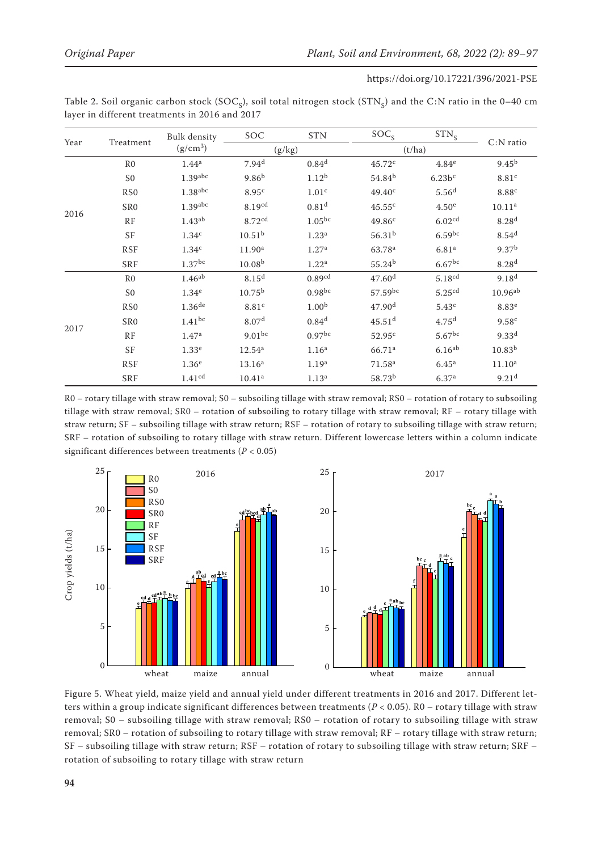| https://doi.org/10.17221/396/2021-PSE |  |
|---------------------------------------|--|
|---------------------------------------|--|

| Table 2. Soil organic carbon stock (SOC <sub>S</sub> ), soil total nitrogen stock (STN <sub>S</sub> ) and the C:N ratio in the 0–40 cm |  |  |
|----------------------------------------------------------------------------------------------------------------------------------------|--|--|
| layer in different treatments in 2016 and 2017                                                                                         |  |  |

| Year | Treatment        | <b>Bulk density</b><br>$(g/cm^3)$ | SOC                  | <b>STN</b>         | SOC <sub>S</sub>     | $STN_S$              |                    |
|------|------------------|-----------------------------------|----------------------|--------------------|----------------------|----------------------|--------------------|
|      |                  |                                   | (g/kg)               |                    | (t/ha)               |                      | $C:N$ ratio        |
| 2016 | R <sub>0</sub>   | 1.44 <sup>a</sup>                 | 7.94 <sup>d</sup>    | 0.84 <sup>d</sup>  | 45.72c               | 4.84 <sup>e</sup>    | $9.45^{b}$         |
|      | S <sub>0</sub>   | $1.39$ abc                        | 9.86 <sup>b</sup>    | 1.12 <sup>b</sup>  | 54.84 <sup>b</sup>   | $6.23b$ <sup>c</sup> | 8.81 <sup>c</sup>  |
|      | R <sub>S</sub> O | 1.38 <sup>abc</sup>               | 8.95 <sup>c</sup>    | 1.01 <sup>c</sup>  | 49.40 <sup>c</sup>   | 5.56 <sup>d</sup>    | 8.88 <sup>c</sup>  |
|      | SR <sub>0</sub>  | $1.39$ abc                        | 8.19 <sup>cd</sup>   | 0.81 <sup>d</sup>  | 45.55c               | 4.50 <sup>e</sup>    | 10.11 <sup>a</sup> |
|      | RF               | 1.43 <sup>ab</sup>                | 8.72 <sup>cd</sup>   | $1.05^{bc}$        | 49.86 <sup>c</sup>   | 6.02 <sup>cd</sup>   | 8.28 <sup>d</sup>  |
|      | <b>SF</b>        | 1.34 <sup>c</sup>                 | 10.51 <sup>b</sup>   | 1.23 <sup>a</sup>  | $56.31^{b}$          | $6.59$ bc            | 8.54 <sup>d</sup>  |
|      | <b>RSF</b>       | 1.34 <sup>c</sup>                 | 11.90 <sup>a</sup>   | 1.27 <sup>a</sup>  | 63.78 <sup>a</sup>   | 6.81 <sup>a</sup>    | 9.37 <sup>b</sup>  |
|      | <b>SRF</b>       | $1.37$ <sup>bc</sup>              | 10.08 <sup>b</sup>   | 1.22 <sup>a</sup>  | 55.24 <sup>b</sup>   | 6.67 <sup>bc</sup>   | 8.28 <sup>d</sup>  |
| 2017 | R <sub>0</sub>   | $1.46^{ab}$                       | 8.15 <sup>d</sup>    | 0.89cd             | 47.60 <sup>d</sup>   | 5.18 <sup>cd</sup>   | 9.18 <sup>d</sup>  |
|      | S <sub>0</sub>   | 1.34 <sup>e</sup>                 | $10.75^{b}$          | 0.98 <sup>bc</sup> | $57.59^{bc}$         | 5.25cd               | $10.96^{ab}$       |
|      | R <sub>S</sub> O | $1.36$ <sup>de</sup>              | 8.81 <sup>c</sup>    | 1.00 <sup>b</sup>  | 47.90 <sup>d</sup>   | 5.43 <sup>c</sup>    | 8.83 <sup>e</sup>  |
|      | SR <sub>0</sub>  | $1.41^{bc}$                       | 8.07 <sup>d</sup>    | 0.84 <sup>d</sup>  | $45.51$ <sup>d</sup> | 4.75 <sup>d</sup>    | 9.58 <sup>c</sup>  |
|      | RF               | 1.47 <sup>a</sup>                 | $9.01$ <sub>bc</sub> | 0.97 <sup>bc</sup> | 52.95 <sup>c</sup>   | $5.67$ <sup>bc</sup> | $9.33^{d}$         |
|      | <b>SF</b>        | 1.33 <sup>e</sup>                 | $12.54^a$            | 1.16 <sup>a</sup>  | 66.71 <sup>a</sup>   | 6.16 <sup>ab</sup>   | 10.83 <sup>b</sup> |
|      | <b>RSF</b>       | 1.36 <sup>e</sup>                 | 13.16 <sup>a</sup>   | 1.19 <sup>a</sup>  | 71.58 <sup>a</sup>   | 6.45 <sup>a</sup>    | 11.10 <sup>a</sup> |
|      | <b>SRF</b>       | 1.41 <sup>cd</sup>                | 10.41 <sup>a</sup>   | 1.13 <sup>a</sup>  | 58.73 <sup>b</sup>   | 6.37 <sup>a</sup>    | 9.21 <sup>d</sup>  |

R0 – rotary tillage with straw removal; S0 – subsoiling tillage with straw removal; RS0 – rotation of rotary to subsoiling tillage with straw removal; SR0 – rotation of subsoiling to rotary tillage with straw removal; RF – rotary tillage with straw return; SF – subsoiling tillage with straw return; RSF – rotation of rotary to subsoiling tillage with straw return; SRF – rotation of subsoiling to rotary tillage with straw return. Different lowercase letters within a column indicate significant differences between treatments (*P* < 0.05)



Figure 5. Wheat yield, maize yield and annual yield under different treatments in 2016 and 2017. Different letters within a group indicate significant differences between treatments (*P* < 0.05). R0 – rotary tillage with straw removal; S0 – subsoiling tillage with straw removal; RS0 – rotation of rotary to subsoiling tillage with straw **0 0** removal; SR0 – rotation of subsoiling to rotary tillage with straw removal; RF – rotary tillage with straw return; **Wheat Maize Annual Wheat Maize Annual** SF – subsoiling tillage with straw return; RSF – rotation of rotary to subsoiling tillage with straw return; SRF –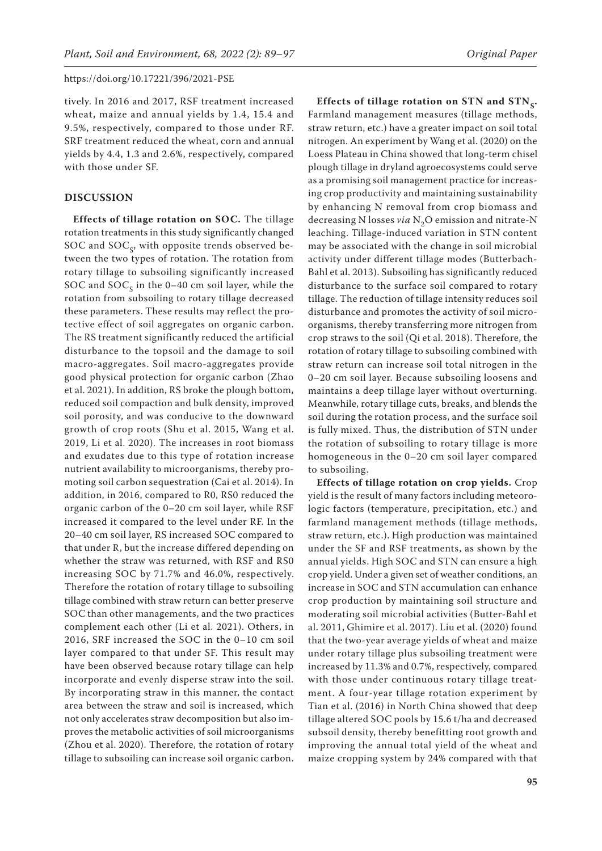tively. In 2016 and 2017, RSF treatment increased wheat, maize and annual yields by 1.4, 15.4 and 9.5%, respectively, compared to those under RF. SRF treatment reduced the wheat, corn and annual yields by 4.4, 1.3 and 2.6%, respectively, compared with those under SF.

# **DISCUSSION**

**Effects of tillage rotation on SOC.** The tillage rotation treatments in this study significantly changed SOC and  $SOC<sub>c</sub>$ , with opposite trends observed between the two types of rotation. The rotation from rotary tillage to subsoiling significantly increased SOC and  $SOC<sub>c</sub>$  in the 0–40 cm soil layer, while the rotation from subsoiling to rotary tillage decreased these parameters. These results may reflect the protective effect of soil aggregates on organic carbon. The RS treatment significantly reduced the artificial disturbance to the topsoil and the damage to soil macro-aggregates. Soil macro-aggregates provide good physical protection for organic carbon (Zhao et al. 2021). In addition, RS broke the plough bottom, reduced soil compaction and bulk density, improved soil porosity, and was conducive to the downward growth of crop roots (Shu et al. 2015, Wang et al. 2019, Li et al. 2020). The increases in root biomass and exudates due to this type of rotation increase nutrient availability to microorganisms, thereby promoting soil carbon sequestration (Cai et al. 2014). In addition, in 2016, compared to R0, RS0 reduced the organic carbon of the 0–20 cm soil layer, while RSF increased it compared to the level under RF. In the 20–40 cm soil layer, RS increased SOC compared to that under R, but the increase differed depending on whether the straw was returned, with RSF and RS0 increasing SOC by 71.7% and 46.0%, respectively. Therefore the rotation of rotary tillage to subsoiling tillage combined with straw return can better preserve SOC than other managements, and the two practices complement each other (Li et al. 2021). Others, in 2016, SRF increased the SOC in the 0–10 cm soil layer compared to that under SF. This result may have been observed because rotary tillage can help incorporate and evenly disperse straw into the soil. By incorporating straw in this manner, the contact area between the straw and soil is increased, which not only accelerates straw decomposition but also improves the metabolic activities of soil microorganisms (Zhou et al. 2020). Therefore, the rotation of rotary tillage to subsoiling can increase soil organic carbon.

Effects of tillage rotation on STN and STN<sub>c</sub>. Farmland management measures (tillage methods, straw return, etc.) have a greater impact on soil total nitrogen. An experiment by Wang et al. (2020) on the Loess Plateau in China showed that long-term chisel plough tillage in dryland agroecosystems could serve as a promising soil management practice for increasing crop productivity and maintaining sustainability by enhancing N removal from crop biomass and decreasing N losses *via* N<sub>2</sub>O emission and nitrate-N leaching. Tillage-induced variation in STN content may be associated with the change in soil microbial activity under different tillage modes (Butterbach-Bahl et al. 2013). Subsoiling has significantly reduced disturbance to the surface soil compared to rotary tillage. The reduction of tillage intensity reduces soil disturbance and promotes the activity of soil microorganisms, thereby transferring more nitrogen from crop straws to the soil (Qi et al. 2018). Therefore, the rotation of rotary tillage to subsoiling combined with straw return can increase soil total nitrogen in the 0–20 cm soil layer. Because subsoiling loosens and maintains a deep tillage layer without overturning. Meanwhile, rotary tillage cuts, breaks, and blends the soil during the rotation process, and the surface soil is fully mixed. Thus, the distribution of STN under the rotation of subsoiling to rotary tillage is more homogeneous in the 0–20 cm soil layer compared to subsoiling.

**Effects of tillage rotation on crop yields.** Crop yield is the result of many factors including meteorologic factors (temperature, precipitation, etc.) and farmland management methods (tillage methods, straw return, etc.). High production was maintained under the SF and RSF treatments, as shown by the annual yields. High SOC and STN can ensure a high crop yield. Under a given set of weather conditions, an increase in SOC and STN accumulation can enhance crop production by maintaining soil structure and moderating soil microbial activities (Butter-Bahl et al. 2011, Ghimire et al. 2017). Liu et al. (2020) found that the two-year average yields of wheat and maize under rotary tillage plus subsoiling treatment were increased by 11.3% and 0.7%, respectively, compared with those under continuous rotary tillage treatment. A four-year tillage rotation experiment by Tian et al. (2016) in North China showed that deep tillage altered SOC pools by 15.6 t/ha and decreased subsoil density, thereby benefitting root growth and improving the annual total yield of the wheat and maize cropping system by 24% compared with that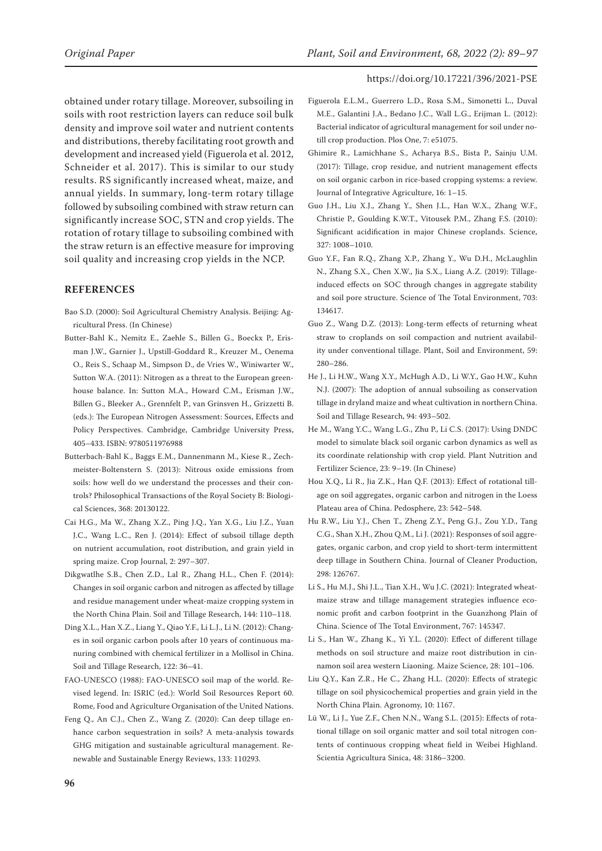obtained under rotary tillage. Moreover, subsoiling in soils with root restriction layers can reduce soil bulk density and improve soil water and nutrient contents and distributions, thereby facilitating root growth and development and increased yield (Figuerola et al. 2012, Schneider et al. 2017). This is similar to our study results. RS significantly increased wheat, maize, and annual yields. In summary, long-term rotary tillage followed by subsoiling combined with straw return can significantly increase SOC, STN and crop yields. The rotation of rotary tillage to subsoiling combined with the straw return is an effective measure for improving soil quality and increasing crop yields in the NCP.

### **REFERENCES**

- Bao S.D. (2000): Soil Agricultural Chemistry Analysis. Beijing: Agricultural Press. (In Chinese)
- Butter-Bahl K., Nemitz E., Zaehle S., Billen G., Boeckx P., Erisman J.W., Garnier J., Upstill-Goddard R., Kreuzer M., Oenema O., Reis S., Schaap M., Simpson D., de Vries W., Winiwarter W., Sutton W.A. (2011): Nitrogen as a threat to the European greenhouse balance. In: Sutton M.A., Howard C.M., Erisman J.W., Billen G., Bleeker A., Grennfelt P., van Grinsven H., Grizzetti B. (eds.): The European Nitrogen Assessment: Sources, Effects and Policy Perspectives. Cambridge, Cambridge University Press, 405–433. ISBN: 9780511976988
- Butterbach-Bahl K., Baggs E.M., Dannenmann M., Kiese R., Zechmeister-Boltenstern S. (2013): Nitrous oxide emissions from soils: how well do we understand the processes and their controls? Philosophical Transactions of the Royal Society B: Biological Sciences, 368: 20130122.
- Cai H.G., Ma W., Zhang X.Z., Ping J.Q., Yan X.G., Liu J.Z., Yuan J.C., Wang L.C., Ren J. (2014): Effect of subsoil tillage depth on nutrient accumulation, root distribution, and grain yield in spring maize. Crop Journal, 2: 297–307.
- Dikgwatlhe S.B., Chen Z.D., Lal R., Zhang H.L., Chen F. (2014): Changes in soil organic carbon and nitrogen as affected by tillage and residue management under wheat-maize cropping system in the North China Plain. Soil and Tillage Research, 144: 110–118.
- Ding X.L., Han X.Z., Liang Y., Qiao Y.F., Li L.J., Li N. (2012): Changes in soil organic carbon pools after 10 years of continuous manuring combined with chemical fertilizer in a Mollisol in China. Soil and Tillage Research, 122: 36–41.
- FAO-UNESCO (1988): FAO-UNESCO soil map of the world. Revised legend. In: ISRIC (ed.): World Soil Resources Report 60. Rome, Food and Agriculture Organisation of the United Nations.
- Feng Q., An C.J., Chen Z., Wang Z. (2020): Can deep tillage enhance carbon sequestration in soils? A meta-analysis towards GHG mitigation and sustainable agricultural management. Renewable and Sustainable Energy Reviews, 133: 110293.
- Figuerola E.L.M., Guerrero L.D., Rosa S.M., Simonetti L., Duval M.E., Galantini J.A., Bedano J.C., Wall L.G., Erijman L. (2012): Bacterial indicator of agricultural management for soil under notill crop production. Plos One, 7: e51075.
- Ghimire R., Lamichhane S., Acharya B.S., Bista P., Sainju U.M. (2017): Tillage, crop residue, and nutrient management effects on soil organic carbon in rice-based cropping systems: a review. Journal of Integrative Agriculture, 16: 1–15.
- Guo J.H., Liu X.J., Zhang Y., Shen J.L., Han W.X., Zhang W.F., Christie P., Goulding K.W.T., Vitousek P.M., Zhang F.S. (2010): Significant acidification in major Chinese croplands. Science, 327: 1008–1010.
- Guo Y.F., Fan R.Q., Zhang X.P., Zhang Y., Wu D.H., McLaughlin N., Zhang S.X., Chen X.W., Jia S.X., Liang A.Z. (2019): Tillageinduced effects on SOC through changes in aggregate stability and soil pore structure. Science of The Total Environment, 703: 134617.
- Guo Z., Wang D.Z. (2013): Long-term effects of returning wheat straw to croplands on soil compaction and nutrient availability under conventional tillage. Plant, Soil and Environment, 59: 280–286.
- He J., Li H.W., Wang X.Y., McHugh A.D., Li W.Y., Gao H.W., Kuhn N.J. (2007): The adoption of annual subsoiling as conservation tillage in dryland maize and wheat cultivation in northern China. Soil and Tillage Research, 94: 493–502.
- He M., Wang Y.C., Wang L.G., Zhu P., Li C.S. (2017): Using DNDC model to simulate black soil organic carbon dynamics as well as its coordinate relationship with crop yield. Plant Nutrition and Fertilizer Science, 23: 9–19. (In Chinese)
- Hou X.Q., Li R., Jia Z.K., Han Q.F. (2013): Effect of rotational tillage on soil aggregates, organic carbon and nitrogen in the Loess Plateau area of China. Pedosphere, 23: 542–548.
- Hu R.W., Liu Y.J., Chen T., Zheng Z.Y., Peng G.J., Zou Y.D., Tang C.G., Shan X.H., Zhou Q.M., Li J. (2021): Responses of soil aggregates, organic carbon, and crop yield to short-term intermittent deep tillage in Southern China. Journal of Cleaner Production, 298: 126767.
- Li S., Hu M.J., Shi J.L., Tian X.H., Wu J.C. (2021): Integrated wheatmaize straw and tillage management strategies influence economic profit and carbon footprint in the Guanzhong Plain of China. Science of The Total Environment, 767: 145347.
- Li S., Han W., Zhang K., Yi Y.L. (2020): Effect of different tillage methods on soil structure and maize root distribution in cinnamon soil area western Liaoning. Maize Science, 28: 101–106.
- Liu Q.Y., Kan Z.R., He C., Zhang H.L. (2020): Effects of strategic tillage on soil physicochemical properties and grain yield in the North China Plain. Agronomy, 10: 1167.
- Lü W., Li J., Yue Z.F., Chen N.N., Wang S.L. (2015): Effects of rotational tillage on soil organic matter and soil total nitrogen contents of continuous cropping wheat field in Weibei Highland. Scientia Agricultura Sinica, 48: 3186–3200.